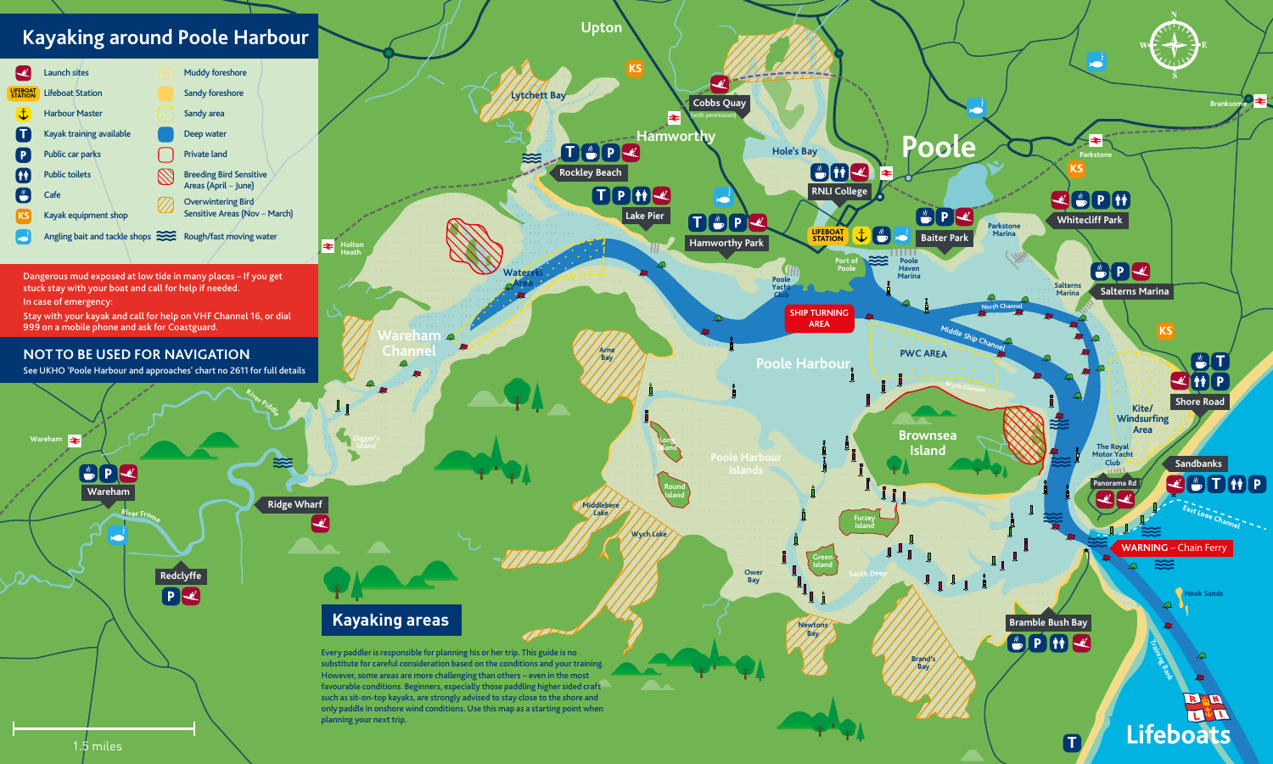BPK **Wareham <sup>R</sup>ive<sup>r</sup> <sup>F</sup>rom<sup>e</sup>** **<sup>R</sup>ive<sup>r</sup> <sup>P</sup>idd<sup>l</sup><sup>e</sup>**



**Wareham**

∣₹

**Redclyffe**

PE

#### **NOT TO BE USED FOR NAVIGATION**

See UKHO 'Poole Harbour and approaches' chart no 2611 for full details

# **Kayaking around Poole Harbour**



Dangerous mud exposed at low tide in many places – If you get stuck stay with your boat and call for help if needed.

In case of emergency:

Stay with your kayak and call for help on VHF Channel 16, or dial 999 on a mobile phone and ask for Coastguard.